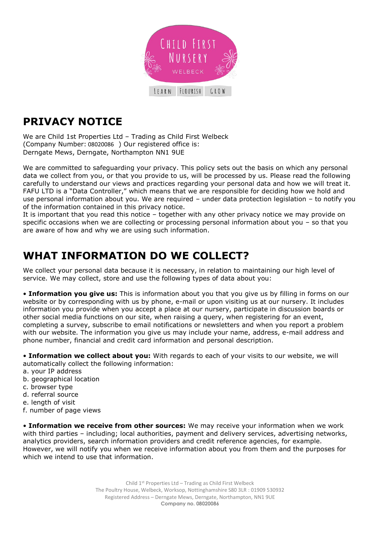

# **PRIVACY NOTICE**

We are Child 1st Properties Ltd – Trading as Child First Welbeck (Company Number: 08020086 ) Our registered office is: Derngate Mews, Derngate, Northampton NN1 9UE

We are committed to safeguarding your privacy. This policy sets out the basis on which any personal data we collect from you, or that you provide to us, will be processed by us. Please read the following carefully to understand our views and practices regarding your personal data and how we will treat it. FAFU LTD is a "Data Controller," which means that we are responsible for deciding how we hold and use personal information about you. We are required – under data protection legislation – to notify you of the information contained in this privacy notice.

It is important that you read this notice – together with any other privacy notice we may provide on specific occasions when we are collecting or processing personal information about you – so that you are aware of how and why we are using such information.

### **WHAT INFORMATION DO WE COLLECT?**

We collect your personal data because it is necessary, in relation to maintaining our high level of service. We may collect, store and use the following types of data about you:

• **Information you give us:** This is information about you that you give us by filling in forms on our website or by corresponding with us by phone, e-mail or upon visiting us at our nursery. It includes information you provide when you accept a place at our nursery, participate in discussion boards or other social media functions on our site, when raising a query, when registering for an event, completing a survey, subscribe to email notifications or newsletters and when you report a problem with our website. The information you give us may include your name, address, e-mail address and phone number, financial and credit card information and personal description.

• **Information we collect about you:** With regards to each of your visits to our website, we will automatically collect the following information:

- a. your IP address
- b. geographical location
- c. browser type
- d. referral source
- e. length of visit
- f. number of page views

• **Information we receive from other sources:** We may receive your information when we work with third parties – including; local authorities, payment and delivery services, advertising networks, analytics providers, search information providers and credit reference agencies, for example. However, we will notify you when we receive information about you from them and the purposes for which we intend to use that information.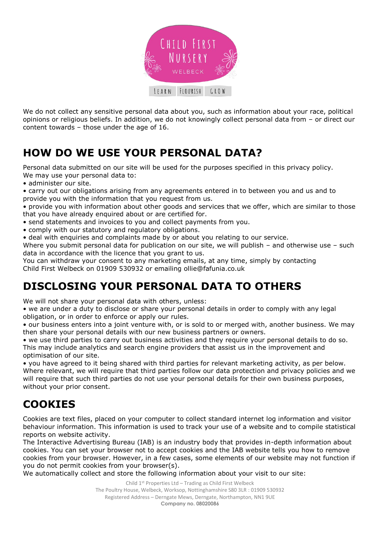

We do not collect any sensitive personal data about you, such as information about your race, political opinions or religious beliefs. In addition, we do not knowingly collect personal data from – or direct our content towards – those under the age of 16.

# **HOW DO WE USE YOUR PERSONAL DATA?**

Personal data submitted on our site will be used for the purposes specified in this privacy policy. We may use your personal data to:

• administer our site.

• carry out our obligations arising from any agreements entered in to between you and us and to provide you with the information that you request from us.

• provide you with information about other goods and services that we offer, which are similar to those that you have already enquired about or are certified for.

- send statements and invoices to you and collect payments from you.
- comply with our statutory and regulatory obligations.
- deal with enquiries and complaints made by or about you relating to our service.

Where you submit personal data for publication on our site, we will publish - and otherwise use - such data in accordance with the licence that you grant to us.

You can withdraw your consent to any marketing emails, at any time, simply by contacting Child First Welbeck on 01909 530932 or emailing ollie@fafunia.co.uk

#### **DISCLOSING YOUR PERSONAL DATA TO OTHERS**

We will not share your personal data with others, unless:

• we are under a duty to disclose or share your personal details in order to comply with any legal obligation, or in order to enforce or apply our rules.

• our business enters into a joint venture with, or is sold to or merged with, another business. We may then share your personal details with our new business partners or owners.

• we use third parties to carry out business activities and they require your personal details to do so. This may include analytics and search engine providers that assist us in the improvement and optimisation of our site.

• you have agreed to it being shared with third parties for relevant marketing activity, as per below. Where relevant, we will require that third parties follow our data protection and privacy policies and we will require that such third parties do not use your personal details for their own business purposes, without your prior consent.

#### **COOKIES**

Cookies are text files, placed on your computer to collect standard internet log information and visitor behaviour information. This information is used to track your use of a website and to compile statistical reports on website activity.

The Interactive Advertising Bureau (IAB) is an industry body that provides in-depth information about cookies. You can set your browser not to accept cookies and the IAB website tells you how to remove cookies from your browser. However, in a few cases, some elements of our website may not function if you do not permit cookies from your browser(s).

We automatically collect and store the following information about your visit to our site: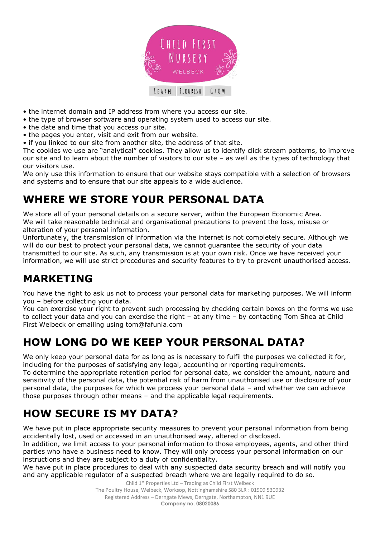

- the internet domain and IP address from where you access our site.
- the type of browser software and operating system used to access our site.
- the date and time that you access our site.
- the pages you enter, visit and exit from our website.
- if you linked to our site from another site, the address of that site.

The cookies we use are "analytical" cookies. They allow us to identify click stream patterns, to improve our site and to learn about the number of visitors to our site – as well as the types of technology that our visitors use.

We only use this information to ensure that our website stays compatible with a selection of browsers and systems and to ensure that our site appeals to a wide audience.

## **WHERE WE STORE YOUR PERSONAL DATA**

We store all of your personal details on a secure server, within the European Economic Area. We will take reasonable technical and organisational precautions to prevent the loss, misuse or alteration of your personal information.

Unfortunately, the transmission of information via the internet is not completely secure. Although we will do our best to protect your personal data, we cannot guarantee the security of your data transmitted to our site. As such, any transmission is at your own risk. Once we have received your information, we will use strict procedures and security features to try to prevent unauthorised access.

# **MARKETING**

You have the right to ask us not to process your personal data for marketing purposes. We will inform you – before collecting your data.

You can exercise your right to prevent such processing by checking certain boxes on the forms we use to collect your data and you can exercise the right – at any time – by contacting Tom Shea at Child First Welbeck or emailing using tom@fafunia.com

#### **HOW LONG DO WE KEEP YOUR PERSONAL DATA?**

We only keep your personal data for as long as is necessary to fulfil the purposes we collected it for, including for the purposes of satisfying any legal, accounting or reporting requirements.

To determine the appropriate retention period for personal data, we consider the amount, nature and sensitivity of the personal data, the potential risk of harm from unauthorised use or disclosure of your personal data, the purposes for which we process your personal data – and whether we can achieve those purposes through other means – and the applicable legal requirements.

## **HOW SECURE IS MY DATA?**

We have put in place appropriate security measures to prevent your personal information from being accidentally lost, used or accessed in an unauthorised way, altered or disclosed.

In addition, we limit access to your personal information to those employees, agents, and other third parties who have a business need to know. They will only process your personal information on our instructions and they are subject to a duty of confidentiality.

We have put in place procedures to deal with any suspected data security breach and will notify you and any applicable regulator of a suspected breach where we are legally required to do so.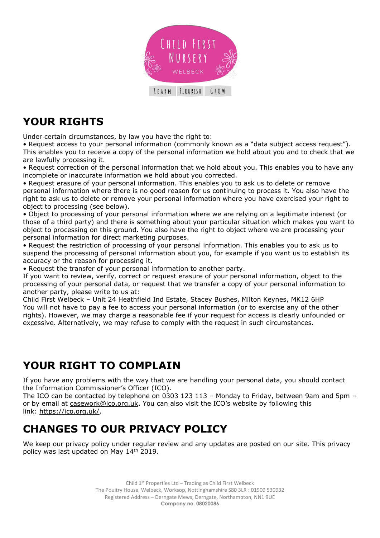

# **YOUR RIGHTS**

Under certain circumstances, by law you have the right to:

• Request access to your personal information (commonly known as a "data subject access request"). This enables you to receive a copy of the personal information we hold about you and to check that we are lawfully processing it.

• Request correction of the personal information that we hold about you. This enables you to have any incomplete or inaccurate information we hold about you corrected.

• Request erasure of your personal information. This enables you to ask us to delete or remove personal information where there is no good reason for us continuing to process it. You also have the right to ask us to delete or remove your personal information where you have exercised your right to object to processing (see below).

• Object to processing of your personal information where we are relying on a legitimate interest (or those of a third party) and there is something about your particular situation which makes you want to object to processing on this ground. You also have the right to object where we are processing your personal information for direct marketing purposes.

• Request the restriction of processing of your personal information. This enables you to ask us to suspend the processing of personal information about you, for example if you want us to establish its accuracy or the reason for processing it.

• Request the transfer of your personal information to another party.

If you want to review, verify, correct or request erasure of your personal information, object to the processing of your personal data, or request that we transfer a copy of your personal information to another party, please write to us at:

Child First Welbeck – Unit 24 Heathfield Ind Estate, Stacey Bushes, Milton Keynes, MK12 6HP You will not have to pay a fee to access your personal information (or to exercise any of the other rights). However, we may charge a reasonable fee if your request for access is clearly unfounded or excessive. Alternatively, we may refuse to comply with the request in such circumstances.

#### **YOUR RIGHT TO COMPLAIN**

If you have any problems with the way that we are handling your personal data, you should contact the Information Commissioner's Officer (ICO).

The ICO can be contacted by telephone on 0303 123 113 – Monday to Friday, between 9am and 5pm – or by email at [casework@ico.org.uk](mailto:casework@ico.org.uk). You can also visit the ICO's website by following this link: [https://ico.org.uk/.](https://ico.org.uk/)

## **CHANGES TO OUR PRIVACY POLICY**

We keep our privacy policy under regular review and any updates are posted on our site. This privacy policy was last updated on May 14<sup>th</sup> 2019.